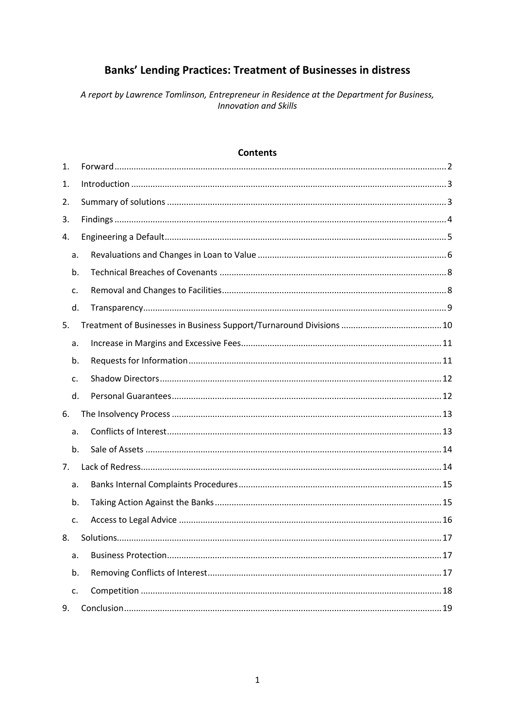# **Banks' Lending Practices: Treatment of Businesses in distress**

A report by Lawrence Tomlinson, Entrepreneur in Residence at the Department for Business, **Innovation and Skills** 

| <b>Contents</b> |  |
|-----------------|--|
|                 |  |

| 1. |  |
|----|--|
| 1. |  |
| 2. |  |
| 3. |  |
| 4. |  |
| a. |  |
| b. |  |
| c. |  |
| d. |  |
| 5. |  |
| a. |  |
| b. |  |
| c. |  |
| d. |  |
| 6. |  |
| a. |  |
| b. |  |
| 7. |  |
| a. |  |
| b. |  |
| c. |  |
| 8. |  |
| a. |  |
| b. |  |
| c. |  |
| 9. |  |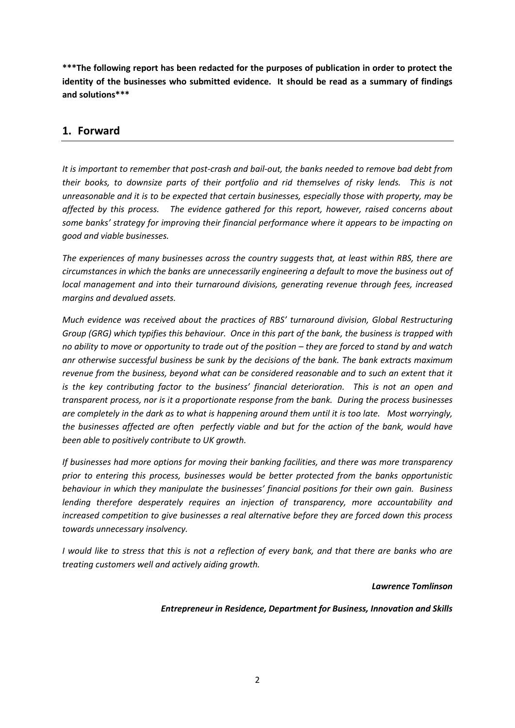**\*\*\*The following report has been redacted for the purposes of publication in order to protect the identity of the businesses who submitted evidence. It should be read as a summary of findings and solutions\*\*\***

## <span id="page-1-0"></span>**1. Forward**

*It is important to remember that post-crash and bail-out, the banks needed to remove bad debt from their books, to downsize parts of their portfolio and rid themselves of risky lends. This is not unreasonable and it is to be expected that certain businesses, especially those with property, may be affected by this process. The evidence gathered for this report, however, raised concerns about some banks' strategy for improving their financial performance where it appears to be impacting on good and viable businesses.* 

*The experiences of many businesses across the country suggests that, at least within RBS, there are circumstances in which the banks are unnecessarily engineering a default to move the business out of local management and into their turnaround divisions, generating revenue through fees, increased margins and devalued assets.* 

*Much evidence was received about the practices of RBS' turnaround division, Global Restructuring Group (GRG) which typifies this behaviour. Once in this part of the bank, the business is trapped with no ability to move or opportunity to trade out of the position – they are forced to stand by and watch anr otherwise successful business be sunk by the decisions of the bank. The bank extracts maximum revenue from the business, beyond what can be considered reasonable and to such an extent that it is the key contributing factor to the business' financial deterioration. This is not an open and transparent process, nor is it a proportionate response from the bank. During the process businesses are completely in the dark as to what is happening around them until it is too late. Most worryingly, the businesses affected are often perfectly viable and but for the action of the bank, would have been able to positively contribute to UK growth.* 

*If businesses had more options for moving their banking facilities, and there was more transparency prior to entering this process, businesses would be better protected from the banks opportunistic behaviour in which they manipulate the businesses' financial positions for their own gain. Business lending therefore desperately requires an injection of transparency, more accountability and increased competition to give businesses a real alternative before they are forced down this process towards unnecessary insolvency.* 

*I would like to stress that this is not a reflection of every bank, and that there are banks who are treating customers well and actively aiding growth.* 

#### *Lawrence Tomlinson*

### *Entrepreneur in Residence, Department for Business, Innovation and Skills*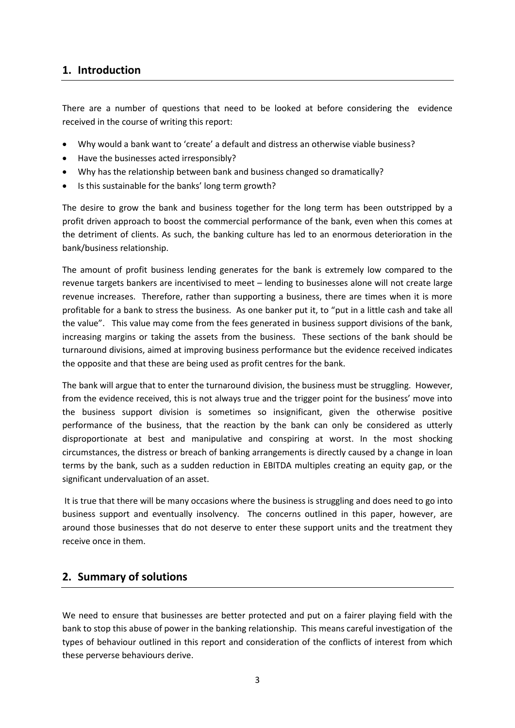## <span id="page-2-0"></span>**1. Introduction**

There are a number of questions that need to be looked at before considering the evidence received in the course of writing this report:

- Why would a bank want to 'create' a default and distress an otherwise viable business?
- Have the businesses acted irresponsibly?
- Why has the relationship between bank and business changed so dramatically?
- Is this sustainable for the banks' long term growth?

The desire to grow the bank and business together for the long term has been outstripped by a profit driven approach to boost the commercial performance of the bank, even when this comes at the detriment of clients. As such, the banking culture has led to an enormous deterioration in the bank/business relationship.

The amount of profit business lending generates for the bank is extremely low compared to the revenue targets bankers are incentivised to meet – lending to businesses alone will not create large revenue increases. Therefore, rather than supporting a business, there are times when it is more profitable for a bank to stress the business. As one banker put it, to "put in a little cash and take all the value". This value may come from the fees generated in business support divisions of the bank, increasing margins or taking the assets from the business. These sections of the bank should be turnaround divisions, aimed at improving business performance but the evidence received indicates the opposite and that these are being used as profit centres for the bank.

The bank will argue that to enter the turnaround division, the business must be struggling. However, from the evidence received, this is not always true and the trigger point for the business' move into the business support division is sometimes so insignificant, given the otherwise positive performance of the business, that the reaction by the bank can only be considered as utterly disproportionate at best and manipulative and conspiring at worst. In the most shocking circumstances, the distress or breach of banking arrangements is directly caused by a change in loan terms by the bank, such as a sudden reduction in EBITDA multiples creating an equity gap, or the significant undervaluation of an asset.

It is true that there will be many occasions where the business is struggling and does need to go into business support and eventually insolvency. The concerns outlined in this paper, however, are around those businesses that do not deserve to enter these support units and the treatment they receive once in them.

### <span id="page-2-1"></span>**2. Summary of solutions**

We need to ensure that businesses are better protected and put on a fairer playing field with the bank to stop this abuse of power in the banking relationship. This means careful investigation of the types of behaviour outlined in this report and consideration of the conflicts of interest from which these perverse behaviours derive.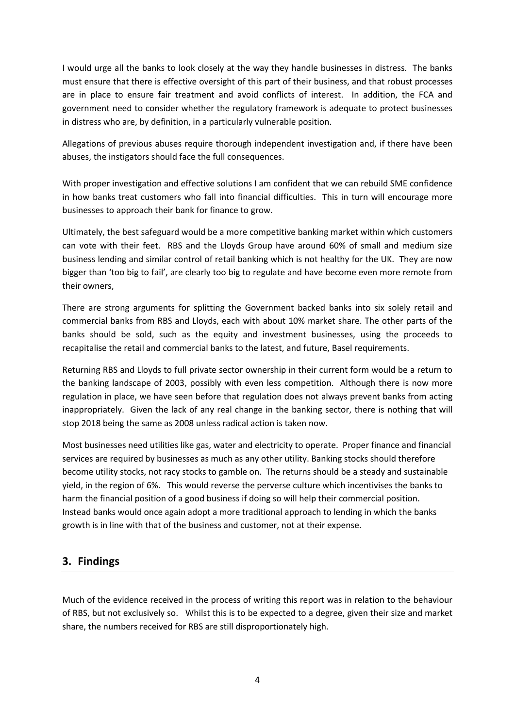I would urge all the banks to look closely at the way they handle businesses in distress. The banks must ensure that there is effective oversight of this part of their business, and that robust processes are in place to ensure fair treatment and avoid conflicts of interest. In addition, the FCA and government need to consider whether the regulatory framework is adequate to protect businesses in distress who are, by definition, in a particularly vulnerable position.

Allegations of previous abuses require thorough independent investigation and, if there have been abuses, the instigators should face the full consequences.

With proper investigation and effective solutions I am confident that we can rebuild SME confidence in how banks treat customers who fall into financial difficulties. This in turn will encourage more businesses to approach their bank for finance to grow.

Ultimately, the best safeguard would be a more competitive banking market within which customers can vote with their feet. RBS and the Lloyds Group have around 60% of small and medium size business lending and similar control of retail banking which is not healthy for the UK. They are now bigger than 'too big to fail', are clearly too big to regulate and have become even more remote from their owners,

There are strong arguments for splitting the Government backed banks into six solely retail and commercial banks from RBS and Lloyds, each with about 10% market share. The other parts of the banks should be sold, such as the equity and investment businesses, using the proceeds to recapitalise the retail and commercial banks to the latest, and future, Basel requirements.

Returning RBS and Lloyds to full private sector ownership in their current form would be a return to the banking landscape of 2003, possibly with even less competition. Although there is now more regulation in place, we have seen before that regulation does not always prevent banks from acting inappropriately. Given the lack of any real change in the banking sector, there is nothing that will stop 2018 being the same as 2008 unless radical action is taken now.

Most businesses need utilities like gas, water and electricity to operate. Proper finance and financial services are required by businesses as much as any other utility. Banking stocks should therefore become utility stocks, not racy stocks to gamble on. The returns should be a steady and sustainable yield, in the region of 6%. This would reverse the perverse culture which incentivises the banks to harm the financial position of a good business if doing so will help their commercial position. Instead banks would once again adopt a more traditional approach to lending in which the banks growth is in line with that of the business and customer, not at their expense.

## <span id="page-3-0"></span>**3. Findings**

Much of the evidence received in the process of writing this report was in relation to the behaviour of RBS, but not exclusively so. Whilst this is to be expected to a degree, given their size and market share, the numbers received for RBS are still disproportionately high.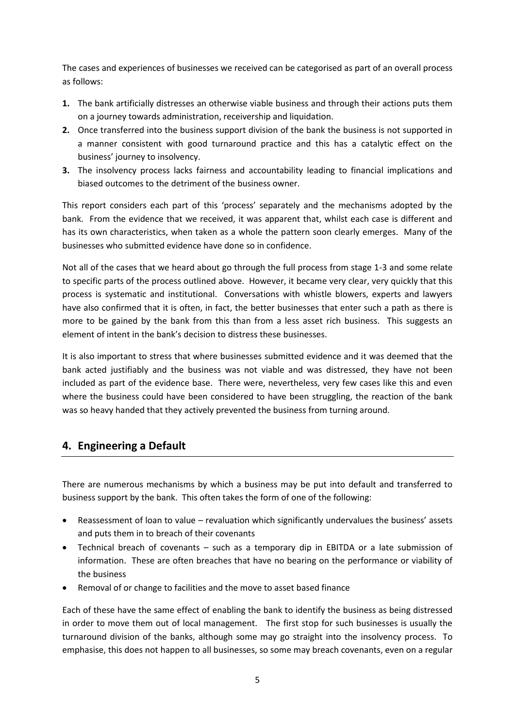The cases and experiences of businesses we received can be categorised as part of an overall process as follows:

- **1.** The bank artificially distresses an otherwise viable business and through their actions puts them on a journey towards administration, receivership and liquidation.
- **2.** Once transferred into the business support division of the bank the business is not supported in a manner consistent with good turnaround practice and this has a catalytic effect on the business' journey to insolvency.
- **3.** The insolvency process lacks fairness and accountability leading to financial implications and biased outcomes to the detriment of the business owner.

This report considers each part of this 'process' separately and the mechanisms adopted by the bank. From the evidence that we received, it was apparent that, whilst each case is different and has its own characteristics, when taken as a whole the pattern soon clearly emerges. Many of the businesses who submitted evidence have done so in confidence.

Not all of the cases that we heard about go through the full process from stage 1-3 and some relate to specific parts of the process outlined above. However, it became very clear, very quickly that this process is systematic and institutional. Conversations with whistle blowers, experts and lawyers have also confirmed that it is often, in fact, the better businesses that enter such a path as there is more to be gained by the bank from this than from a less asset rich business. This suggests an element of intent in the bank's decision to distress these businesses.

It is also important to stress that where businesses submitted evidence and it was deemed that the bank acted justifiably and the business was not viable and was distressed, they have not been included as part of the evidence base. There were, nevertheless, very few cases like this and even where the business could have been considered to have been struggling, the reaction of the bank was so heavy handed that they actively prevented the business from turning around.

## <span id="page-4-0"></span>**4. Engineering a Default**

There are numerous mechanisms by which a business may be put into default and transferred to business support by the bank. This often takes the form of one of the following:

- Reassessment of loan to value revaluation which significantly undervalues the business' assets and puts them in to breach of their covenants
- Technical breach of covenants such as a temporary dip in EBITDA or a late submission of information. These are often breaches that have no bearing on the performance or viability of the business
- Removal of or change to facilities and the move to asset based finance

Each of these have the same effect of enabling the bank to identify the business as being distressed in order to move them out of local management. The first stop for such businesses is usually the turnaround division of the banks, although some may go straight into the insolvency process. To emphasise, this does not happen to all businesses, so some may breach covenants, even on a regular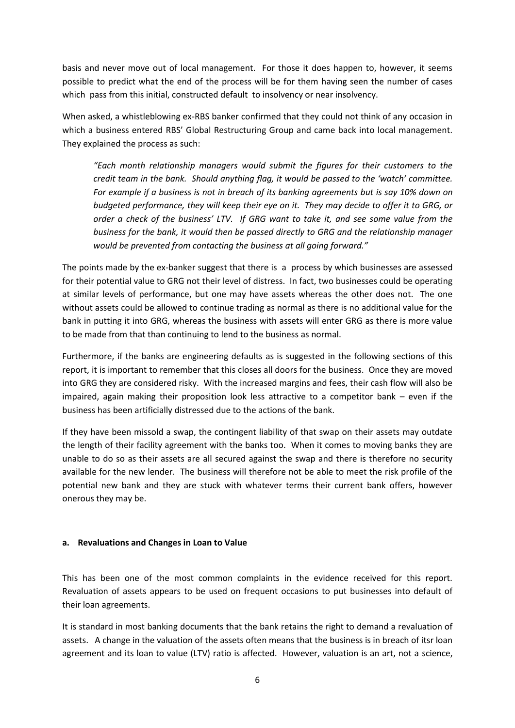basis and never move out of local management. For those it does happen to, however, it seems possible to predict what the end of the process will be for them having seen the number of cases which pass from this initial, constructed default to insolvency or near insolvency.

When asked, a whistleblowing ex-RBS banker confirmed that they could not think of any occasion in which a business entered RBS' Global Restructuring Group and came back into local management. They explained the process as such:

*"Each month relationship managers would submit the figures for their customers to the credit team in the bank. Should anything flag, it would be passed to the 'watch' committee. For example if a business is not in breach of its banking agreements but is say 10% down on budgeted performance, they will keep their eye on it. They may decide to offer it to GRG, or order a check of the business' LTV. If GRG want to take it, and see some value from the business for the bank, it would then be passed directly to GRG and the relationship manager would be prevented from contacting the business at all going forward."*

The points made by the ex-banker suggest that there is a process by which businesses are assessed for their potential value to GRG not their level of distress. In fact, two businesses could be operating at similar levels of performance, but one may have assets whereas the other does not. The one without assets could be allowed to continue trading as normal as there is no additional value for the bank in putting it into GRG, whereas the business with assets will enter GRG as there is more value to be made from that than continuing to lend to the business as normal.

Furthermore, if the banks are engineering defaults as is suggested in the following sections of this report, it is important to remember that this closes all doors for the business. Once they are moved into GRG they are considered risky. With the increased margins and fees, their cash flow will also be impaired, again making their proposition look less attractive to a competitor bank – even if the business has been artificially distressed due to the actions of the bank.

If they have been missold a swap, the contingent liability of that swap on their assets may outdate the length of their facility agreement with the banks too. When it comes to moving banks they are unable to do so as their assets are all secured against the swap and there is therefore no security available for the new lender. The business will therefore not be able to meet the risk profile of the potential new bank and they are stuck with whatever terms their current bank offers, however onerous they may be.

#### <span id="page-5-0"></span>**a. Revaluations and Changes in Loan to Value**

This has been one of the most common complaints in the evidence received for this report. Revaluation of assets appears to be used on frequent occasions to put businesses into default of their loan agreements.

It is standard in most banking documents that the bank retains the right to demand a revaluation of assets. A change in the valuation of the assets often means that the business is in breach of itsr loan agreement and its loan to value (LTV) ratio is affected. However, valuation is an art, not a science,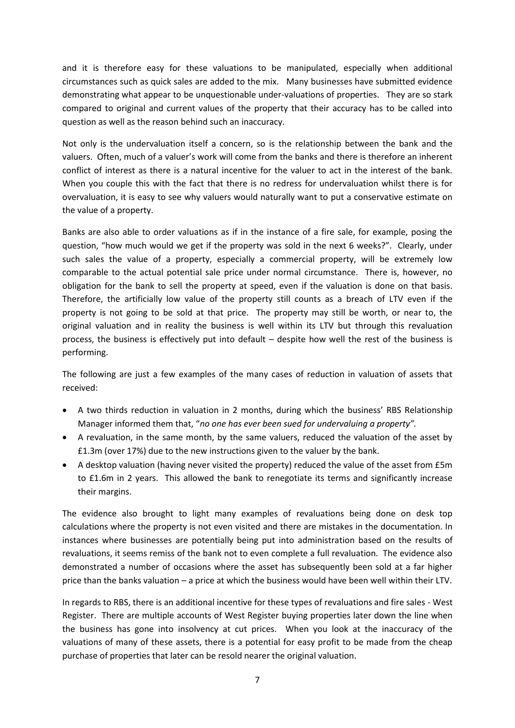and it is therefore easy for these valuations to be manipulated, especially when additional circumstances such as quick sales are added to the mix. Many businesses have submitted evidence demonstrating what appear to be unquestionable under-valuations of properties. They are so stark compared to original and current values of the property that their accuracy has to be called into question as well as the reason behind such an inaccuracy.

Not only is the undervaluation itself a concern, so is the relationship between the bank and the valuers. Often, much of a valuer's work will come from the banks and there is therefore an inherent conflict of interest as there is a natural incentive for the valuer to act in the interest of the bank. When you couple this with the fact that there is no redress for undervaluation whilst there is for overvaluation, it is easy to see why valuers would naturally want to put a conservative estimate on the value of a property.

Banks are also able to order valuations as if in the instance of a fire sale, for example, posing the question, "how much would we get if the property was sold in the next 6 weeks?". Clearly, under such sales the value of a property, especially a commercial property, will be extremely low comparable to the actual potential sale price under normal circumstance. There is, however, no obligation for the bank to sell the property at speed, even if the valuation is done on that basis. Therefore, the artificially low value of the property still counts as a breach of LTV even if the property is not going to be sold at that price. The property may still be worth, or near to, the original valuation and in reality the business is well within its LTV but through this revaluation process, the business is effectively put into default – despite how well the rest of the business is performing.

The following are just a few examples of the many cases of reduction in valuation of assets that received:

- A two thirds reduction in valuation in 2 months, during which the business' RBS Relationship Manager informed them that, "*no one has ever been sued for undervaluing a property".*
- A revaluation, in the same month, by the same valuers, reduced the valuation of the asset by £1.3m (over 17%) due to the new instructions given to the valuer by the bank.
- A desktop valuation (having never visited the property) reduced the value of the asset from £5m to £1.6m in 2 years. This allowed the bank to renegotiate its terms and significantly increase their margins.

The evidence also brought to light many examples of revaluations being done on desk top calculations where the property is not even visited and there are mistakes in the documentation. In instances where businesses are potentially being put into administration based on the results of revaluations, it seems remiss of the bank not to even complete a full revaluation. The evidence also demonstrated a number of occasions where the asset has subsequently been sold at a far higher price than the banks valuation – a price at which the business would have been well within their LTV.

In regards to RBS, there is an additional incentive for these types of revaluations and fire sales - West Register. There are multiple accounts of West Register buying properties later down the line when the business has gone into insolvency at cut prices. When you look at the inaccuracy of the valuations of many of these assets, there is a potential for easy profit to be made from the cheap purchase of properties that later can be resold nearer the original valuation.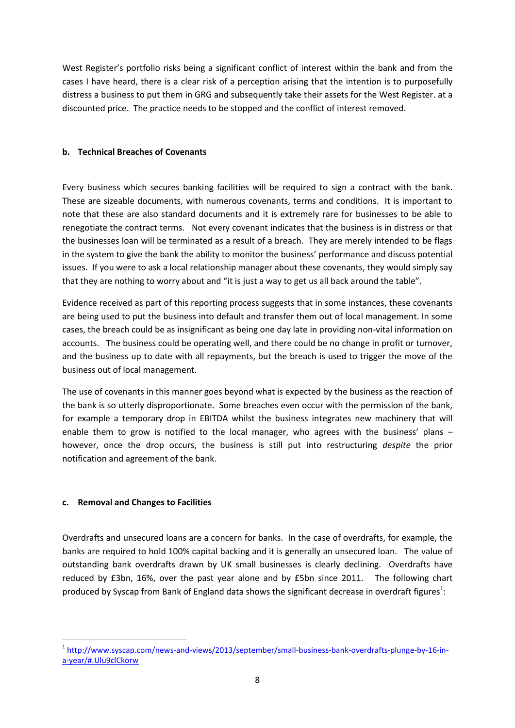West Register's portfolio risks being a significant conflict of interest within the bank and from the cases I have heard, there is a clear risk of a perception arising that the intention is to purposefully distress a business to put them in GRG and subsequently take their assets for the West Register. at a discounted price. The practice needs to be stopped and the conflict of interest removed.

### <span id="page-7-0"></span>**b. Technical Breaches of Covenants**

Every business which secures banking facilities will be required to sign a contract with the bank. These are sizeable documents, with numerous covenants, terms and conditions. It is important to note that these are also standard documents and it is extremely rare for businesses to be able to renegotiate the contract terms. Not every covenant indicates that the business is in distress or that the businesses loan will be terminated as a result of a breach. They are merely intended to be flags in the system to give the bank the ability to monitor the business' performance and discuss potential issues. If you were to ask a local relationship manager about these covenants, they would simply say that they are nothing to worry about and "it is just a way to get us all back around the table".

Evidence received as part of this reporting process suggests that in some instances, these covenants are being used to put the business into default and transfer them out of local management. In some cases, the breach could be as insignificant as being one day late in providing non-vital information on accounts. The business could be operating well, and there could be no change in profit or turnover, and the business up to date with all repayments, but the breach is used to trigger the move of the business out of local management.

The use of covenants in this manner goes beyond what is expected by the business as the reaction of the bank is so utterly disproportionate. Some breaches even occur with the permission of the bank, for example a temporary drop in EBITDA whilst the business integrates new machinery that will enable them to grow is notified to the local manager, who agrees with the business' plans  $$ however, once the drop occurs, the business is still put into restructuring *despite* the prior notification and agreement of the bank.

#### <span id="page-7-1"></span>**c. Removal and Changes to Facilities**

**.** 

Overdrafts and unsecured loans are a concern for banks. In the case of overdrafts, for example, the banks are required to hold 100% capital backing and it is generally an unsecured loan. The value of outstanding bank overdrafts drawn by UK small businesses is clearly declining. Overdrafts have reduced by £3bn, 16%, over the past year alone and by £5bn since 2011. The following chart produced by Syscap from Bank of England data shows the significant decrease in overdraft figures<sup>1</sup>:

<sup>&</sup>lt;sup>1</sup> [http://www.syscap.com/news-and-views/2013/september/small-business-bank-overdrafts-plunge-by-16-in](http://www.syscap.com/news-and-views/2013/september/small-business-bank-overdrafts-plunge-by-16-in-a-year/#.Ulu9clCkorw)[a-year/#.Ulu9clCkorw](http://www.syscap.com/news-and-views/2013/september/small-business-bank-overdrafts-plunge-by-16-in-a-year/#.Ulu9clCkorw)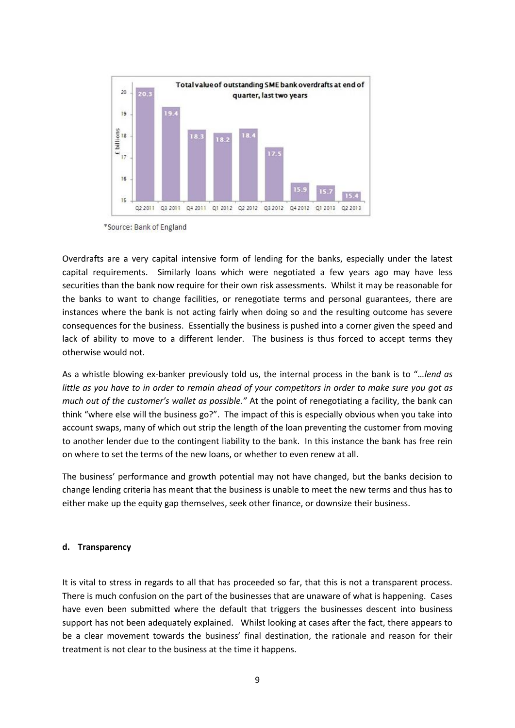

<sup>\*</sup>Source: Bank of England

Overdrafts are a very capital intensive form of lending for the banks, especially under the latest capital requirements. Similarly loans which were negotiated a few years ago may have less securities than the bank now require for their own risk assessments. Whilst it may be reasonable for the banks to want to change facilities, or renegotiate terms and personal guarantees, there are instances where the bank is not acting fairly when doing so and the resulting outcome has severe consequences for the business. Essentially the business is pushed into a corner given the speed and lack of ability to move to a different lender. The business is thus forced to accept terms they otherwise would not.

As a whistle blowing ex-banker previously told us, the internal process in the bank is to "…*lend as little as you have to in order to remain ahead of your competitors in order to make sure you got as much out of the customer's wallet as possible."* At the point of renegotiating a facility, the bank can think "where else will the business go?". The impact of this is especially obvious when you take into account swaps, many of which out strip the length of the loan preventing the customer from moving to another lender due to the contingent liability to the bank. In this instance the bank has free rein on where to set the terms of the new loans, or whether to even renew at all.

The business' performance and growth potential may not have changed, but the banks decision to change lending criteria has meant that the business is unable to meet the new terms and thus has to either make up the equity gap themselves, seek other finance, or downsize their business.

#### <span id="page-8-0"></span>**d. Transparency**

It is vital to stress in regards to all that has proceeded so far, that this is not a transparent process. There is much confusion on the part of the businesses that are unaware of what is happening. Cases have even been submitted where the default that triggers the businesses descent into business support has not been adequately explained. Whilst looking at cases after the fact, there appears to be a clear movement towards the business' final destination, the rationale and reason for their treatment is not clear to the business at the time it happens.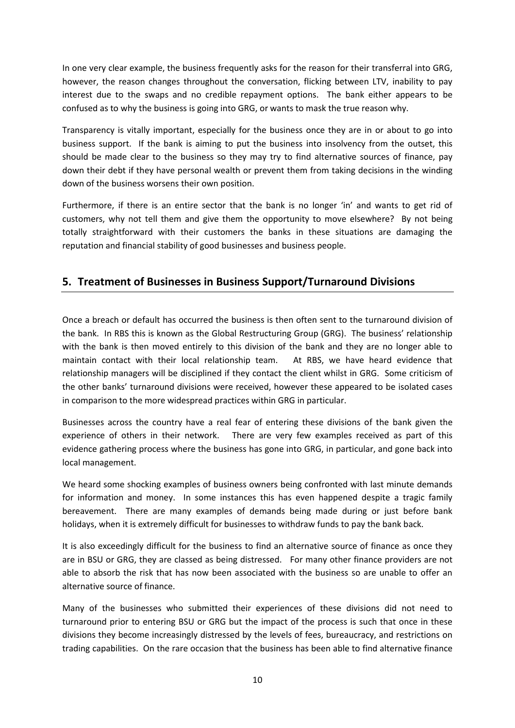In one very clear example, the business frequently asks for the reason for their transferral into GRG, however, the reason changes throughout the conversation, flicking between LTV, inability to pay interest due to the swaps and no credible repayment options. The bank either appears to be confused as to why the business is going into GRG, or wants to mask the true reason why.

Transparency is vitally important, especially for the business once they are in or about to go into business support. If the bank is aiming to put the business into insolvency from the outset, this should be made clear to the business so they may try to find alternative sources of finance, pay down their debt if they have personal wealth or prevent them from taking decisions in the winding down of the business worsens their own position.

Furthermore, if there is an entire sector that the bank is no longer 'in' and wants to get rid of customers, why not tell them and give them the opportunity to move elsewhere? By not being totally straightforward with their customers the banks in these situations are damaging the reputation and financial stability of good businesses and business people.

## <span id="page-9-0"></span>**5. Treatment of Businesses in Business Support/Turnaround Divisions**

Once a breach or default has occurred the business is then often sent to the turnaround division of the bank. In RBS this is known as the Global Restructuring Group (GRG). The business' relationship with the bank is then moved entirely to this division of the bank and they are no longer able to maintain contact with their local relationship team. At RBS, we have heard evidence that relationship managers will be disciplined if they contact the client whilst in GRG. Some criticism of the other banks' turnaround divisions were received, however these appeared to be isolated cases in comparison to the more widespread practices within GRG in particular.

Businesses across the country have a real fear of entering these divisions of the bank given the experience of others in their network. There are very few examples received as part of this evidence gathering process where the business has gone into GRG, in particular, and gone back into local management.

We heard some shocking examples of business owners being confronted with last minute demands for information and money. In some instances this has even happened despite a tragic family bereavement. There are many examples of demands being made during or just before bank holidays, when it is extremely difficult for businesses to withdraw funds to pay the bank back.

It is also exceedingly difficult for the business to find an alternative source of finance as once they are in BSU or GRG, they are classed as being distressed. For many other finance providers are not able to absorb the risk that has now been associated with the business so are unable to offer an alternative source of finance.

Many of the businesses who submitted their experiences of these divisions did not need to turnaround prior to entering BSU or GRG but the impact of the process is such that once in these divisions they become increasingly distressed by the levels of fees, bureaucracy, and restrictions on trading capabilities. On the rare occasion that the business has been able to find alternative finance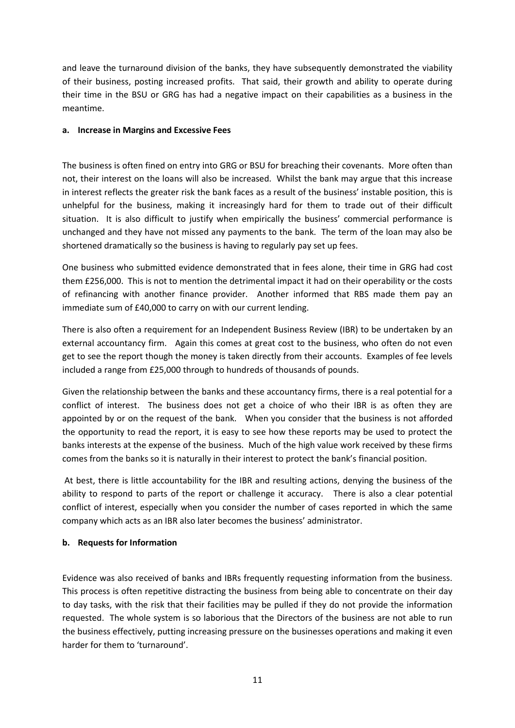and leave the turnaround division of the banks, they have subsequently demonstrated the viability of their business, posting increased profits. That said, their growth and ability to operate during their time in the BSU or GRG has had a negative impact on their capabilities as a business in the meantime.

#### <span id="page-10-0"></span>**a. Increase in Margins and Excessive Fees**

The business is often fined on entry into GRG or BSU for breaching their covenants. More often than not, their interest on the loans will also be increased. Whilst the bank may argue that this increase in interest reflects the greater risk the bank faces as a result of the business' instable position, this is unhelpful for the business, making it increasingly hard for them to trade out of their difficult situation. It is also difficult to justify when empirically the business' commercial performance is unchanged and they have not missed any payments to the bank. The term of the loan may also be shortened dramatically so the business is having to regularly pay set up fees.

One business who submitted evidence demonstrated that in fees alone, their time in GRG had cost them £256,000. This is not to mention the detrimental impact it had on their operability or the costs of refinancing with another finance provider. Another informed that RBS made them pay an immediate sum of £40,000 to carry on with our current lending.

There is also often a requirement for an Independent Business Review (IBR) to be undertaken by an external accountancy firm. Again this comes at great cost to the business, who often do not even get to see the report though the money is taken directly from their accounts. Examples of fee levels included a range from £25,000 through to hundreds of thousands of pounds.

Given the relationship between the banks and these accountancy firms, there is a real potential for a conflict of interest. The business does not get a choice of who their IBR is as often they are appointed by or on the request of the bank. When you consider that the business is not afforded the opportunity to read the report, it is easy to see how these reports may be used to protect the banks interests at the expense of the business. Much of the high value work received by these firms comes from the banks so it is naturally in their interest to protect the bank's financial position.

At best, there is little accountability for the IBR and resulting actions, denying the business of the ability to respond to parts of the report or challenge it accuracy. There is also a clear potential conflict of interest, especially when you consider the number of cases reported in which the same company which acts as an IBR also later becomes the business' administrator.

### <span id="page-10-1"></span>**b. Requests for Information**

Evidence was also received of banks and IBRs frequently requesting information from the business. This process is often repetitive distracting the business from being able to concentrate on their day to day tasks, with the risk that their facilities may be pulled if they do not provide the information requested. The whole system is so laborious that the Directors of the business are not able to run the business effectively, putting increasing pressure on the businesses operations and making it even harder for them to 'turnaround'.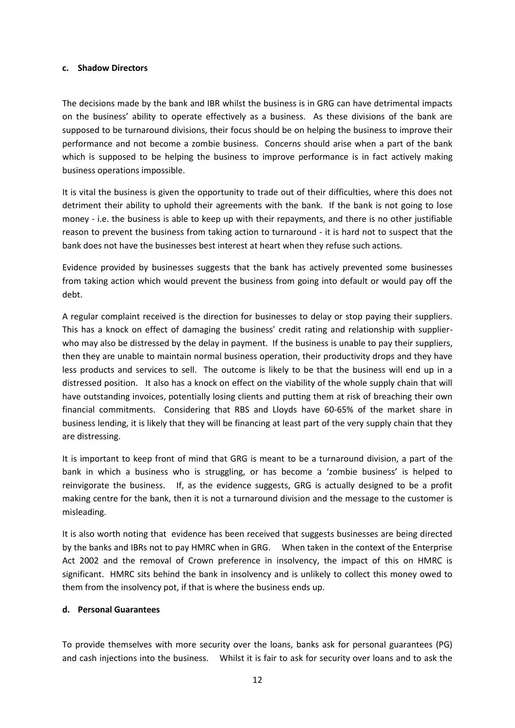#### <span id="page-11-0"></span>**c. Shadow Directors**

The decisions made by the bank and IBR whilst the business is in GRG can have detrimental impacts on the business' ability to operate effectively as a business. As these divisions of the bank are supposed to be turnaround divisions, their focus should be on helping the business to improve their performance and not become a zombie business. Concerns should arise when a part of the bank which is supposed to be helping the business to improve performance is in fact actively making business operations impossible.

It is vital the business is given the opportunity to trade out of their difficulties, where this does not detriment their ability to uphold their agreements with the bank. If the bank is not going to lose money - i.e. the business is able to keep up with their repayments, and there is no other justifiable reason to prevent the business from taking action to turnaround - it is hard not to suspect that the bank does not have the businesses best interest at heart when they refuse such actions.

Evidence provided by businesses suggests that the bank has actively prevented some businesses from taking action which would prevent the business from going into default or would pay off the debt.

A regular complaint received is the direction for businesses to delay or stop paying their suppliers. This has a knock on effect of damaging the business' credit rating and relationship with supplierwho may also be distressed by the delay in payment. If the business is unable to pay their suppliers, then they are unable to maintain normal business operation, their productivity drops and they have less products and services to sell. The outcome is likely to be that the business will end up in a distressed position. It also has a knock on effect on the viability of the whole supply chain that will have outstanding invoices, potentially losing clients and putting them at risk of breaching their own financial commitments. Considering that RBS and Lloyds have 60-65% of the market share in business lending, it is likely that they will be financing at least part of the very supply chain that they are distressing.

It is important to keep front of mind that GRG is meant to be a turnaround division, a part of the bank in which a business who is struggling, or has become a 'zombie business' is helped to reinvigorate the business. If, as the evidence suggests, GRG is actually designed to be a profit making centre for the bank, then it is not a turnaround division and the message to the customer is misleading.

It is also worth noting that evidence has been received that suggests businesses are being directed by the banks and IBRs not to pay HMRC when in GRG. When taken in the context of the Enterprise Act 2002 and the removal of Crown preference in insolvency, the impact of this on HMRC is significant. HMRC sits behind the bank in insolvency and is unlikely to collect this money owed to them from the insolvency pot, if that is where the business ends up.

#### <span id="page-11-1"></span>**d. Personal Guarantees**

To provide themselves with more security over the loans, banks ask for personal guarantees (PG) and cash injections into the business. Whilst it is fair to ask for security over loans and to ask the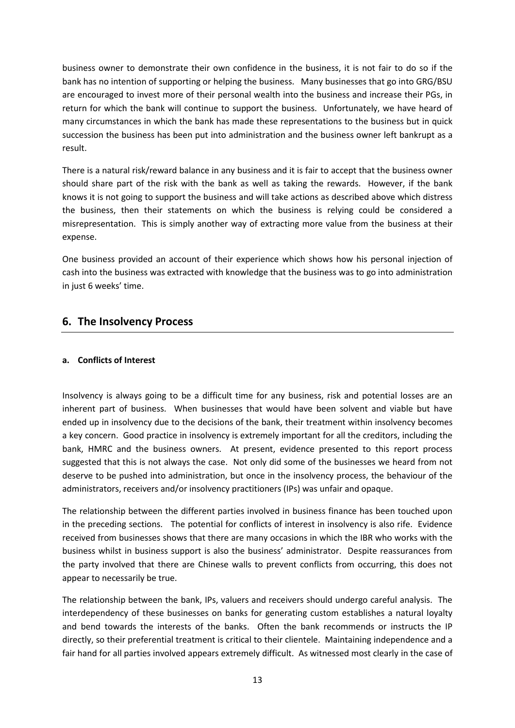business owner to demonstrate their own confidence in the business, it is not fair to do so if the bank has no intention of supporting or helping the business. Many businesses that go into GRG/BSU are encouraged to invest more of their personal wealth into the business and increase their PGs, in return for which the bank will continue to support the business. Unfortunately, we have heard of many circumstances in which the bank has made these representations to the business but in quick succession the business has been put into administration and the business owner left bankrupt as a result.

There is a natural risk/reward balance in any business and it is fair to accept that the business owner should share part of the risk with the bank as well as taking the rewards. However, if the bank knows it is not going to support the business and will take actions as described above which distress the business, then their statements on which the business is relying could be considered a misrepresentation. This is simply another way of extracting more value from the business at their expense.

One business provided an account of their experience which shows how his personal injection of cash into the business was extracted with knowledge that the business was to go into administration in just 6 weeks' time.

## <span id="page-12-0"></span>**6. The Insolvency Process**

### <span id="page-12-1"></span>**a. Conflicts of Interest**

Insolvency is always going to be a difficult time for any business, risk and potential losses are an inherent part of business. When businesses that would have been solvent and viable but have ended up in insolvency due to the decisions of the bank, their treatment within insolvency becomes a key concern. Good practice in insolvency is extremely important for all the creditors, including the bank, HMRC and the business owners. At present, evidence presented to this report process suggested that this is not always the case. Not only did some of the businesses we heard from not deserve to be pushed into administration, but once in the insolvency process, the behaviour of the administrators, receivers and/or insolvency practitioners (IPs) was unfair and opaque.

The relationship between the different parties involved in business finance has been touched upon in the preceding sections. The potential for conflicts of interest in insolvency is also rife. Evidence received from businesses shows that there are many occasions in which the IBR who works with the business whilst in business support is also the business' administrator. Despite reassurances from the party involved that there are Chinese walls to prevent conflicts from occurring, this does not appear to necessarily be true.

The relationship between the bank, IPs, valuers and receivers should undergo careful analysis. The interdependency of these businesses on banks for generating custom establishes a natural loyalty and bend towards the interests of the banks. Often the bank recommends or instructs the IP directly, so their preferential treatment is critical to their clientele. Maintaining independence and a fair hand for all parties involved appears extremely difficult. As witnessed most clearly in the case of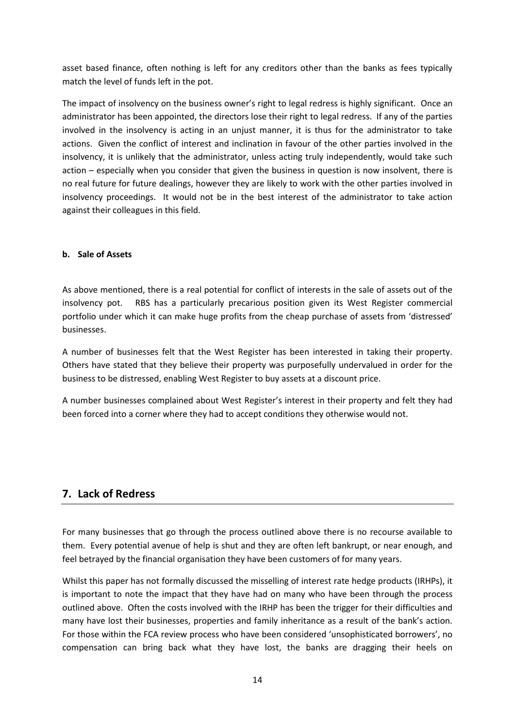asset based finance, often nothing is left for any creditors other than the banks as fees typically match the level of funds left in the pot.

The impact of insolvency on the business owner's right to legal redress is highly significant. Once an administrator has been appointed, the directors lose their right to legal redress. If any of the parties involved in the insolvency is acting in an unjust manner, it is thus for the administrator to take actions. Given the conflict of interest and inclination in favour of the other parties involved in the insolvency, it is unlikely that the administrator, unless acting truly independently, would take such action – especially when you consider that given the business in question is now insolvent, there is no real future for future dealings, however they are likely to work with the other parties involved in insolvency proceedings. It would not be in the best interest of the administrator to take action against their colleagues in this field.

### <span id="page-13-0"></span>**b. Sale of Assets**

As above mentioned, there is a real potential for conflict of interests in the sale of assets out of the insolvency pot. RBS has a particularly precarious position given its West Register commercial portfolio under which it can make huge profits from the cheap purchase of assets from 'distressed' businesses.

A number of businesses felt that the West Register has been interested in taking their property. Others have stated that they believe their property was purposefully undervalued in order for the business to be distressed, enabling West Register to buy assets at a discount price.

A number businesses complained about West Register's interest in their property and felt they had been forced into a corner where they had to accept conditions they otherwise would not.

## <span id="page-13-1"></span>**7. Lack of Redress**

For many businesses that go through the process outlined above there is no recourse available to them. Every potential avenue of help is shut and they are often left bankrupt, or near enough, and feel betrayed by the financial organisation they have been customers of for many years.

Whilst this paper has not formally discussed the misselling of interest rate hedge products (IRHPs), it is important to note the impact that they have had on many who have been through the process outlined above. Often the costs involved with the IRHP has been the trigger for their difficulties and many have lost their businesses, properties and family inheritance as a result of the bank's action. For those within the FCA review process who have been considered 'unsophisticated borrowers', no compensation can bring back what they have lost, the banks are dragging their heels on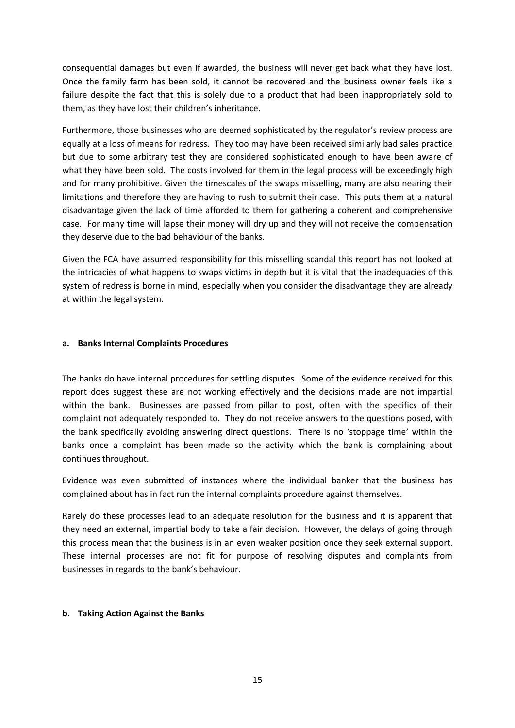consequential damages but even if awarded, the business will never get back what they have lost. Once the family farm has been sold, it cannot be recovered and the business owner feels like a failure despite the fact that this is solely due to a product that had been inappropriately sold to them, as they have lost their children's inheritance.

Furthermore, those businesses who are deemed sophisticated by the regulator's review process are equally at a loss of means for redress. They too may have been received similarly bad sales practice but due to some arbitrary test they are considered sophisticated enough to have been aware of what they have been sold. The costs involved for them in the legal process will be exceedingly high and for many prohibitive. Given the timescales of the swaps misselling, many are also nearing their limitations and therefore they are having to rush to submit their case. This puts them at a natural disadvantage given the lack of time afforded to them for gathering a coherent and comprehensive case. For many time will lapse their money will dry up and they will not receive the compensation they deserve due to the bad behaviour of the banks.

Given the FCA have assumed responsibility for this misselling scandal this report has not looked at the intricacies of what happens to swaps victims in depth but it is vital that the inadequacies of this system of redress is borne in mind, especially when you consider the disadvantage they are already at within the legal system.

#### <span id="page-14-0"></span>**a. Banks Internal Complaints Procedures**

The banks do have internal procedures for settling disputes. Some of the evidence received for this report does suggest these are not working effectively and the decisions made are not impartial within the bank. Businesses are passed from pillar to post, often with the specifics of their complaint not adequately responded to. They do not receive answers to the questions posed, with the bank specifically avoiding answering direct questions. There is no 'stoppage time' within the banks once a complaint has been made so the activity which the bank is complaining about continues throughout.

Evidence was even submitted of instances where the individual banker that the business has complained about has in fact run the internal complaints procedure against themselves.

Rarely do these processes lead to an adequate resolution for the business and it is apparent that they need an external, impartial body to take a fair decision. However, the delays of going through this process mean that the business is in an even weaker position once they seek external support. These internal processes are not fit for purpose of resolving disputes and complaints from businesses in regards to the bank's behaviour.

#### <span id="page-14-1"></span>**b. Taking Action Against the Banks**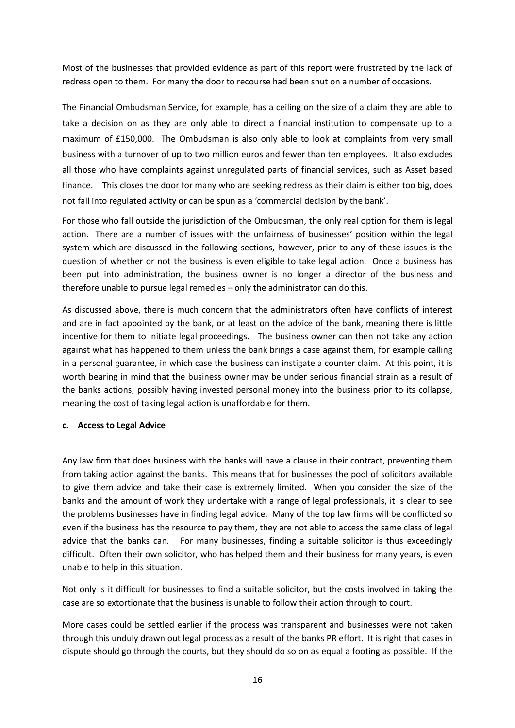Most of the businesses that provided evidence as part of this report were frustrated by the lack of redress open to them. For many the door to recourse had been shut on a number of occasions.

The Financial Ombudsman Service, for example, has a ceiling on the size of a claim they are able to take a decision on as they are only able to direct a financial institution to compensate up to a maximum of £150,000. The Ombudsman is also only able to look at complaints from very small business with a turnover of up to two million euros and fewer than ten employees. It also excludes all those who have complaints against unregulated parts of financial services, such as Asset based finance. This closes the door for many who are seeking redress as their claim is either too big, does not fall into regulated activity or can be spun as a 'commercial decision by the bank'.

For those who fall outside the jurisdiction of the Ombudsman, the only real option for them is legal action. There are a number of issues with the unfairness of businesses' position within the legal system which are discussed in the following sections, however, prior to any of these issues is the question of whether or not the business is even eligible to take legal action. Once a business has been put into administration, the business owner is no longer a director of the business and therefore unable to pursue legal remedies – only the administrator can do this.

As discussed above, there is much concern that the administrators often have conflicts of interest and are in fact appointed by the bank, or at least on the advice of the bank, meaning there is little incentive for them to initiate legal proceedings. The business owner can then not take any action against what has happened to them unless the bank brings a case against them, for example calling in a personal guarantee, in which case the business can instigate a counter claim. At this point, it is worth bearing in mind that the business owner may be under serious financial strain as a result of the banks actions, possibly having invested personal money into the business prior to its collapse, meaning the cost of taking legal action is unaffordable for them.

#### <span id="page-15-0"></span>**c. Access to Legal Advice**

Any law firm that does business with the banks will have a clause in their contract, preventing them from taking action against the banks. This means that for businesses the pool of solicitors available to give them advice and take their case is extremely limited. When you consider the size of the banks and the amount of work they undertake with a range of legal professionals, it is clear to see the problems businesses have in finding legal advice. Many of the top law firms will be conflicted so even if the business has the resource to pay them, they are not able to access the same class of legal advice that the banks can. For many businesses, finding a suitable solicitor is thus exceedingly difficult. Often their own solicitor, who has helped them and their business for many years, is even unable to help in this situation.

Not only is it difficult for businesses to find a suitable solicitor, but the costs involved in taking the case are so extortionate that the business is unable to follow their action through to court.

More cases could be settled earlier if the process was transparent and businesses were not taken through this unduly drawn out legal process as a result of the banks PR effort. It is right that cases in dispute should go through the courts, but they should do so on as equal a footing as possible. If the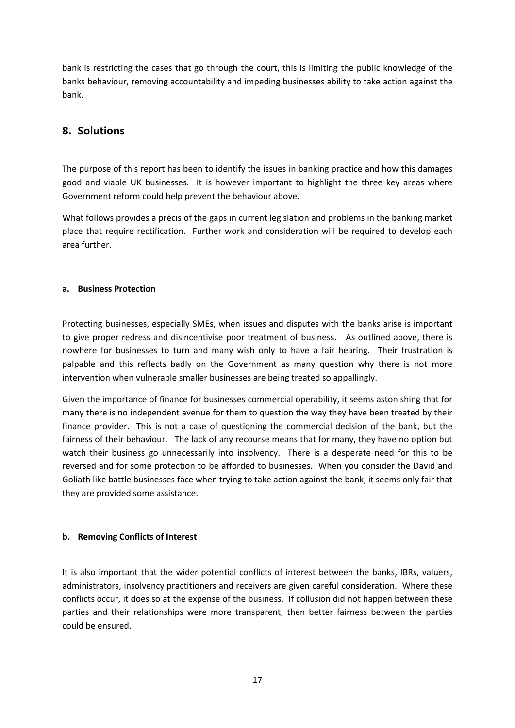bank is restricting the cases that go through the court, this is limiting the public knowledge of the banks behaviour, removing accountability and impeding businesses ability to take action against the bank.

## <span id="page-16-0"></span>**8. Solutions**

The purpose of this report has been to identify the issues in banking practice and how this damages good and viable UK businesses. It is however important to highlight the three key areas where Government reform could help prevent the behaviour above.

What follows provides a précis of the gaps in current legislation and problems in the banking market place that require rectification. Further work and consideration will be required to develop each area further.

### <span id="page-16-1"></span>**a. Business Protection**

Protecting businesses, especially SMEs, when issues and disputes with the banks arise is important to give proper redress and disincentivise poor treatment of business. As outlined above, there is nowhere for businesses to turn and many wish only to have a fair hearing. Their frustration is palpable and this reflects badly on the Government as many question why there is not more intervention when vulnerable smaller businesses are being treated so appallingly.

Given the importance of finance for businesses commercial operability, it seems astonishing that for many there is no independent avenue for them to question the way they have been treated by their finance provider. This is not a case of questioning the commercial decision of the bank, but the fairness of their behaviour. The lack of any recourse means that for many, they have no option but watch their business go unnecessarily into insolvency. There is a desperate need for this to be reversed and for some protection to be afforded to businesses. When you consider the David and Goliath like battle businesses face when trying to take action against the bank, it seems only fair that they are provided some assistance.

### <span id="page-16-2"></span>**b. Removing Conflicts of Interest**

It is also important that the wider potential conflicts of interest between the banks, IBRs, valuers, administrators, insolvency practitioners and receivers are given careful consideration. Where these conflicts occur, it does so at the expense of the business. If collusion did not happen between these parties and their relationships were more transparent, then better fairness between the parties could be ensured.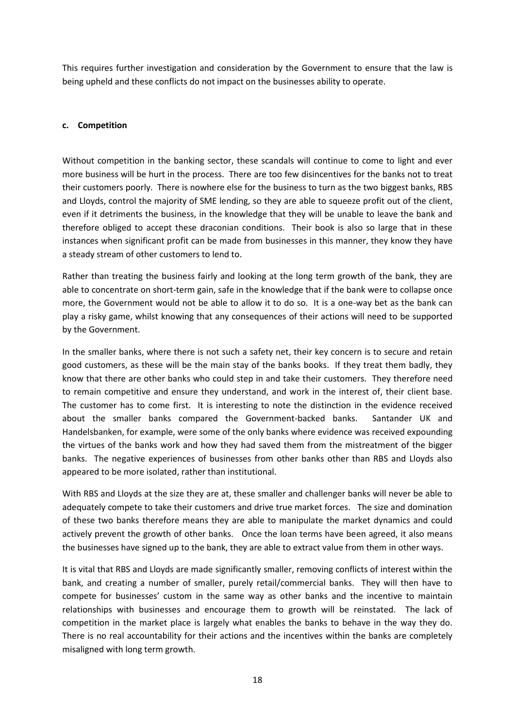This requires further investigation and consideration by the Government to ensure that the law is being upheld and these conflicts do not impact on the businesses ability to operate.

### <span id="page-17-0"></span>**c. Competition**

Without competition in the banking sector, these scandals will continue to come to light and ever more business will be hurt in the process. There are too few disincentives for the banks not to treat their customers poorly. There is nowhere else for the business to turn as the two biggest banks, RBS and Lloyds, control the majority of SME lending, so they are able to squeeze profit out of the client, even if it detriments the business, in the knowledge that they will be unable to leave the bank and therefore obliged to accept these draconian conditions. Their book is also so large that in these instances when significant profit can be made from businesses in this manner, they know they have a steady stream of other customers to lend to.

Rather than treating the business fairly and looking at the long term growth of the bank, they are able to concentrate on short-term gain, safe in the knowledge that if the bank were to collapse once more, the Government would not be able to allow it to do so. It is a one-way bet as the bank can play a risky game, whilst knowing that any consequences of their actions will need to be supported by the Government.

In the smaller banks, where there is not such a safety net, their key concern is to secure and retain good customers, as these will be the main stay of the banks books. If they treat them badly, they know that there are other banks who could step in and take their customers. They therefore need to remain competitive and ensure they understand, and work in the interest of, their client base. The customer has to come first. It is interesting to note the distinction in the evidence received about the smaller banks compared the Government-backed banks. Santander UK and Handelsbanken, for example, were some of the only banks where evidence was received expounding the virtues of the banks work and how they had saved them from the mistreatment of the bigger banks. The negative experiences of businesses from other banks other than RBS and Lloyds also appeared to be more isolated, rather than institutional.

With RBS and Lloyds at the size they are at, these smaller and challenger banks will never be able to adequately compete to take their customers and drive true market forces. The size and domination of these two banks therefore means they are able to manipulate the market dynamics and could actively prevent the growth of other banks. Once the loan terms have been agreed, it also means the businesses have signed up to the bank, they are able to extract value from them in other ways.

It is vital that RBS and Lloyds are made significantly smaller, removing conflicts of interest within the bank, and creating a number of smaller, purely retail/commercial banks. They will then have to compete for businesses' custom in the same way as other banks and the incentive to maintain relationships with businesses and encourage them to growth will be reinstated. The lack of competition in the market place is largely what enables the banks to behave in the way they do. There is no real accountability for their actions and the incentives within the banks are completely misaligned with long term growth.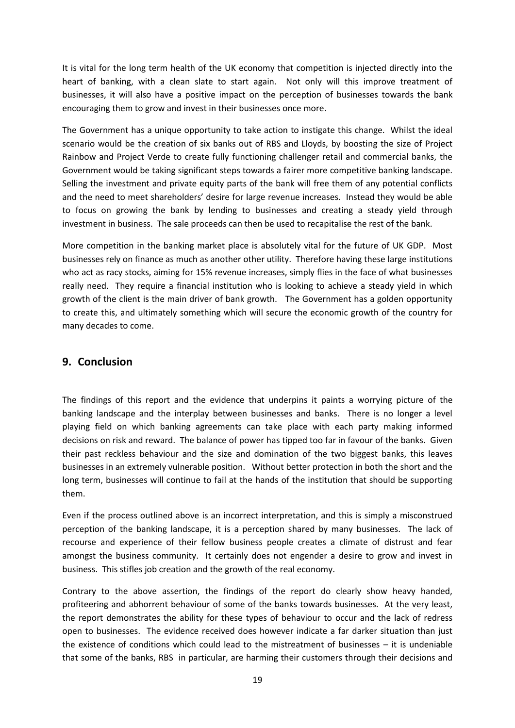It is vital for the long term health of the UK economy that competition is injected directly into the heart of banking, with a clean slate to start again. Not only will this improve treatment of businesses, it will also have a positive impact on the perception of businesses towards the bank encouraging them to grow and invest in their businesses once more.

The Government has a unique opportunity to take action to instigate this change. Whilst the ideal scenario would be the creation of six banks out of RBS and Lloyds, by boosting the size of Project Rainbow and Project Verde to create fully functioning challenger retail and commercial banks, the Government would be taking significant steps towards a fairer more competitive banking landscape. Selling the investment and private equity parts of the bank will free them of any potential conflicts and the need to meet shareholders' desire for large revenue increases. Instead they would be able to focus on growing the bank by lending to businesses and creating a steady yield through investment in business. The sale proceeds can then be used to recapitalise the rest of the bank.

More competition in the banking market place is absolutely vital for the future of UK GDP. Most businesses rely on finance as much as another other utility. Therefore having these large institutions who act as racy stocks, aiming for 15% revenue increases, simply flies in the face of what businesses really need. They require a financial institution who is looking to achieve a steady yield in which growth of the client is the main driver of bank growth. The Government has a golden opportunity to create this, and ultimately something which will secure the economic growth of the country for many decades to come.

## <span id="page-18-0"></span>**9. Conclusion**

The findings of this report and the evidence that underpins it paints a worrying picture of the banking landscape and the interplay between businesses and banks. There is no longer a level playing field on which banking agreements can take place with each party making informed decisions on risk and reward. The balance of power has tipped too far in favour of the banks. Given their past reckless behaviour and the size and domination of the two biggest banks, this leaves businesses in an extremely vulnerable position. Without better protection in both the short and the long term, businesses will continue to fail at the hands of the institution that should be supporting them.

Even if the process outlined above is an incorrect interpretation, and this is simply a misconstrued perception of the banking landscape, it is a perception shared by many businesses. The lack of recourse and experience of their fellow business people creates a climate of distrust and fear amongst the business community. It certainly does not engender a desire to grow and invest in business. This stifles job creation and the growth of the real economy.

Contrary to the above assertion, the findings of the report do clearly show heavy handed, profiteering and abhorrent behaviour of some of the banks towards businesses. At the very least, the report demonstrates the ability for these types of behaviour to occur and the lack of redress open to businesses. The evidence received does however indicate a far darker situation than just the existence of conditions which could lead to the mistreatment of businesses – it is undeniable that some of the banks, RBS in particular, are harming their customers through their decisions and